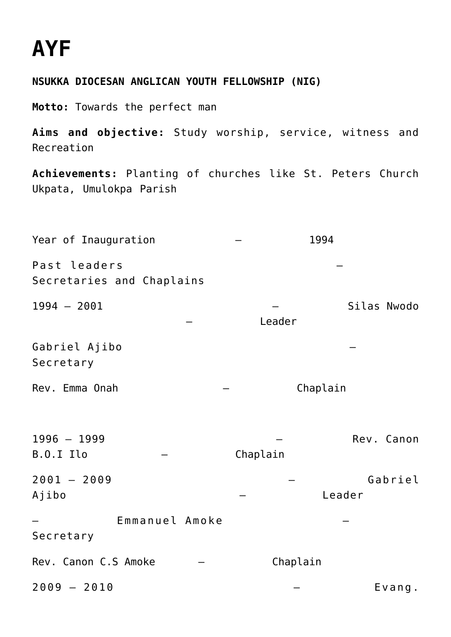## **[AYF](https://adonsk.com/ayf/)**

## **NSUKKA DIOCESAN ANGLICAN YOUTH FELLOWSHIP (NIG)**

**Motto:** Towards the perfect man

**Aims and objective:** Study worship, service, witness and Recreation

**Achievements:** Planting of churches like St. Peters Church Ukpata, Umulokpa Parish

Year of Inauguration  $-$  1994 Past leaders Secretaries and Chaplains 1994 – 2001 – Silas Nwodo – Leader Gabriel Ajibo – Secretary Rev. Emma Onah – – Chaplain 1996 – 1999 – Rev. Canon B.O.I Ilo – – Chaplain 2001 – 2009 – Gabriel Ajibo – Leader – Emmanuel Amoke – Secretary Rev. Canon C.S Amoke – – Chaplain 2009 – 2010 – Evang.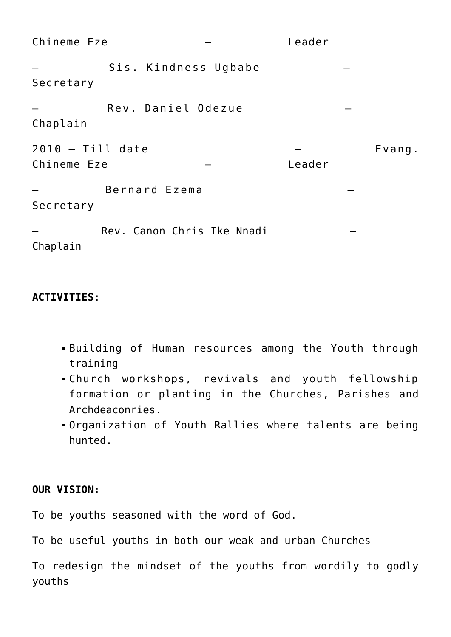| Chineme Eze                       |                            |  | Leader |        |
|-----------------------------------|----------------------------|--|--------|--------|
| Secretary                         | Sis. Kindness Ugbabe       |  |        |        |
| Chaplain                          | Rev. Daniel Odezue         |  |        |        |
| $2010 - Till date$<br>Chineme Eze |                            |  | Leader | Evang. |
| Bernard Ezema<br>Secretary        |                            |  |        |        |
| Chaplain                          | Rev. Canon Chris Ike Nnadi |  |        |        |

## **ACTIVITIES:**

- Building of Human resources among the Youth through training
- Church workshops, revivals and youth fellowship formation or planting in the Churches, Parishes and Archdeaconries.
- Organization of Youth Rallies where talents are being hunted.

## **OUR VISION:**

To be youths seasoned with the word of God.

To be useful youths in both our weak and urban Churches

To redesign the mindset of the youths from wordily to godly youths